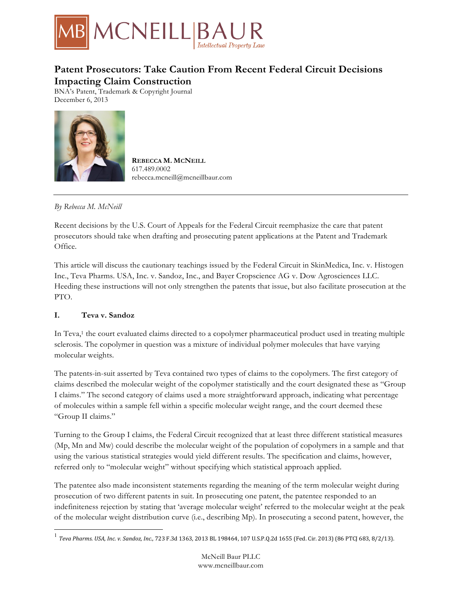

# **Patent Prosecutors: Take Caution From Recent Federal Circuit Decisions Impacting Claim Construction**

BNA's Patent, Trademark & Copyright Journal December 6, 2013



**REBECCA M. MCNEILL** 617.489.0002 rebecca.mcneill@mcneillbaur.com

### *By Rebecca M. McNeill*

Recent decisions by the U.S. Court of Appeals for the Federal Circuit reemphasize the care that patent prosecutors should take when drafting and prosecuting patent applications at the Patent and Trademark Office.

This article will discuss the cautionary teachings issued by the Federal Circuit in SkinMedica, Inc. v. Histogen Inc., Teva Pharms. USA, Inc. v. Sandoz, Inc., and Bayer Cropscience AG v. Dow Agrosciences LLC. Heeding these instructions will not only strengthen the patents that issue, but also facilitate prosecution at the PTO.

## **I. Teva v. Sandoz**

In Teva,<sup>1</sup> the court evaluated claims directed to a copolymer pharmaceutical product used in treating multiple sclerosis. The copolymer in question was a mixture of individual polymer molecules that have varying molecular weights.

The patents-in-suit asserted by Teva contained two types of claims to the copolymers. The first category of claims described the molecular weight of the copolymer statistically and the court designated these as "Group I claims." The second category of claims used a more straightforward approach, indicating what percentage of molecules within a sample fell within a specific molecular weight range, and the court deemed these "Group II claims."

Turning to the Group I claims, the Federal Circuit recognized that at least three different statistical measures (Mp, Mn and Mw) could describe the molecular weight of the population of copolymers in a sample and that using the various statistical strategies would yield different results. The specification and claims, however, referred only to "molecular weight" without specifying which statistical approach applied.

The patentee also made inconsistent statements regarding the meaning of the term molecular weight during prosecution of two different patents in suit. In prosecuting one patent, the patentee responded to an indefiniteness rejection by stating that 'average molecular weight' referred to the molecular weight at the peak of the molecular weight distribution curve (i.e., describing Mp). In prosecuting a second patent, however, the

<sup>&</sup>lt;sup>1</sup> Teva Pharms. USA, Inc. v. Sandoz, Inc., 723 F.3d 1363, 2013 BL 198464, 107 U.S.P.Q.2d 1655 (Fed. Cir. 2013) (86 PTCJ 683, 8/2/13).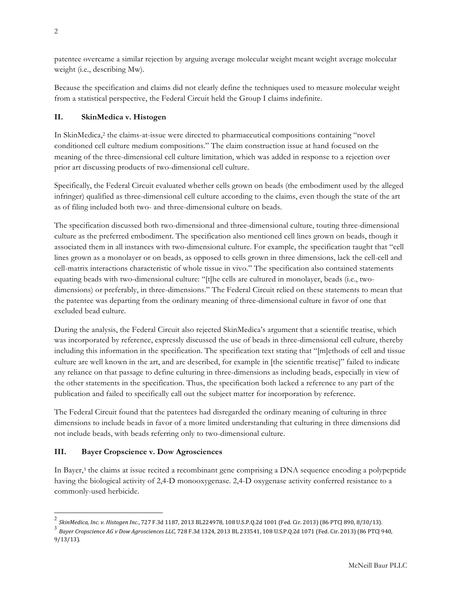patentee overcame a similar rejection by arguing average molecular weight meant weight average molecular weight (i.e., describing Mw).

Because the specification and claims did not clearly define the techniques used to measure molecular weight from a statistical perspective, the Federal Circuit held the Group I claims indefinite.

## **II. SkinMedica v. Histogen**

In SkinMedica,<sup>2</sup> the claims-at-issue were directed to pharmaceutical compositions containing "novel conditioned cell culture medium compositions." The claim construction issue at hand focused on the meaning of the three-dimensional cell culture limitation, which was added in response to a rejection over prior art discussing products of two-dimensional cell culture.

Specifically, the Federal Circuit evaluated whether cells grown on beads (the embodiment used by the alleged infringer) qualified as three-dimensional cell culture according to the claims, even though the state of the art as of filing included both two- and three-dimensional culture on beads.

The specification discussed both two-dimensional and three-dimensional culture, touting three-dimensional culture as the preferred embodiment. The specification also mentioned cell lines grown on beads, though it associated them in all instances with two-dimensional culture. For example, the specification taught that "cell lines grown as a monolayer or on beads, as opposed to cells grown in three dimensions, lack the cell-cell and cell-matrix interactions characteristic of whole tissue in vivo." The specification also contained statements equating beads with two-dimensional culture: "[t]he cells are cultured in monolayer, beads (i.e., twodimensions) or preferably, in three-dimensions." The Federal Circuit relied on these statements to mean that the patentee was departing from the ordinary meaning of three-dimensional culture in favor of one that excluded bead culture.

During the analysis, the Federal Circuit also rejected SkinMedica's argument that a scientific treatise, which was incorporated by reference, expressly discussed the use of beads in three-dimensional cell culture, thereby including this information in the specification. The specification text stating that "[m]ethods of cell and tissue culture are well known in the art, and are described, for example in [the scientific treatise]" failed to indicate any reliance on that passage to define culturing in three-dimensions as including beads, especially in view of the other statements in the specification. Thus, the specification both lacked a reference to any part of the publication and failed to specifically call out the subject matter for incorporation by reference.

The Federal Circuit found that the patentees had disregarded the ordinary meaning of culturing in three dimensions to include beads in favor of a more limited understanding that culturing in three dimensions did not include beads, with beads referring only to two-dimensional culture.

## **III. Bayer Cropscience v. Dow Agrosciences**

In Bayer,3 the claims at issue recited a recombinant gene comprising a DNA sequence encoding a polypeptide having the biological activity of 2,4-D monooxygenase. 2,4-D oxygenase activity conferred resistance to a commonly-used herbicide.

<sup>&</sup>lt;sup>2</sup> SkinMedica, Inc. v. Histogen Inc., 727 F.3d 1187, 2013 BL224978, 108 U.S.P.Q.2d 1001 (Fed. Cir. 2013) (86 PTCJ 890, 8/30/13).

<sup>&</sup>lt;sup>3</sup> Bayer Cropscience AG v Dow Agrosciences LLC, 728 F.3d 1324, 2013 BL 233541, 108 U.S.P.Q.2d 1071 (Fed. Cir. 2013) (86 PTCJ 940, 9/13/13).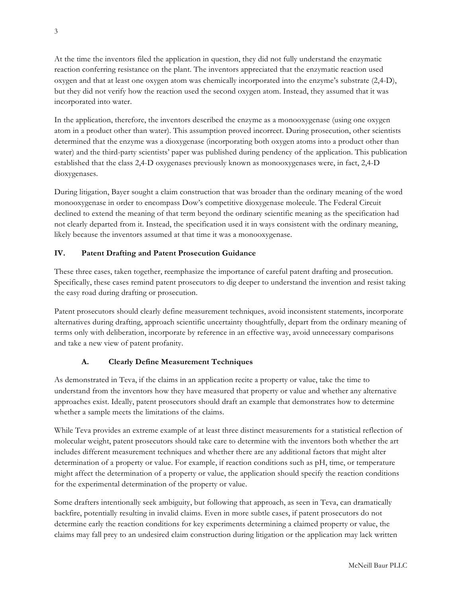At the time the inventors filed the application in question, they did not fully understand the enzymatic reaction conferring resistance on the plant. The inventors appreciated that the enzymatic reaction used oxygen and that at least one oxygen atom was chemically incorporated into the enzyme's substrate (2,4-D), but they did not verify how the reaction used the second oxygen atom. Instead, they assumed that it was incorporated into water.

In the application, therefore, the inventors described the enzyme as a monooxygenase (using one oxygen atom in a product other than water). This assumption proved incorrect. During prosecution, other scientists determined that the enzyme was a dioxygenase (incorporating both oxygen atoms into a product other than water) and the third-party scientists' paper was published during pendency of the application. This publication established that the class 2,4-D oxygenases previously known as monooxygenases were, in fact, 2,4-D dioxygenases.

During litigation, Bayer sought a claim construction that was broader than the ordinary meaning of the word monooxygenase in order to encompass Dow's competitive dioxygenase molecule. The Federal Circuit declined to extend the meaning of that term beyond the ordinary scientific meaning as the specification had not clearly departed from it. Instead, the specification used it in ways consistent with the ordinary meaning, likely because the inventors assumed at that time it was a monooxygenase.

## **IV. Patent Drafting and Patent Prosecution Guidance**

These three cases, taken together, reemphasize the importance of careful patent drafting and prosecution. Specifically, these cases remind patent prosecutors to dig deeper to understand the invention and resist taking the easy road during drafting or prosecution.

Patent prosecutors should clearly define measurement techniques, avoid inconsistent statements, incorporate alternatives during drafting, approach scientific uncertainty thoughtfully, depart from the ordinary meaning of terms only with deliberation, incorporate by reference in an effective way, avoid unnecessary comparisons and take a new view of patent profanity.

## **A. Clearly Define Measurement Techniques**

As demonstrated in Teva, if the claims in an application recite a property or value, take the time to understand from the inventors how they have measured that property or value and whether any alternative approaches exist. Ideally, patent prosecutors should draft an example that demonstrates how to determine whether a sample meets the limitations of the claims.

While Teva provides an extreme example of at least three distinct measurements for a statistical reflection of molecular weight, patent prosecutors should take care to determine with the inventors both whether the art includes different measurement techniques and whether there are any additional factors that might alter determination of a property or value. For example, if reaction conditions such as pH, time, or temperature might affect the determination of a property or value, the application should specify the reaction conditions for the experimental determination of the property or value.

Some drafters intentionally seek ambiguity, but following that approach, as seen in Teva, can dramatically backfire, potentially resulting in invalid claims. Even in more subtle cases, if patent prosecutors do not determine early the reaction conditions for key experiments determining a claimed property or value, the claims may fall prey to an undesired claim construction during litigation or the application may lack written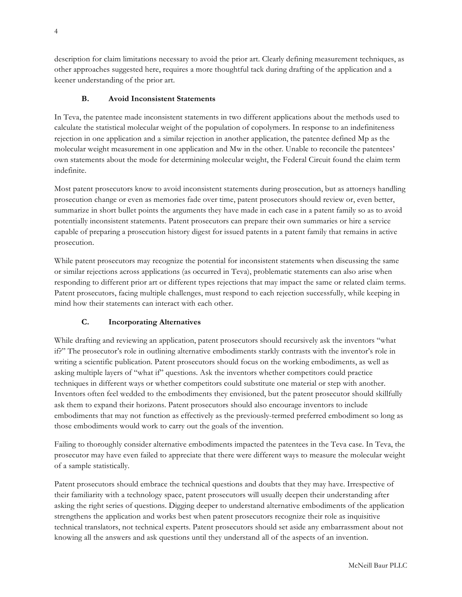description for claim limitations necessary to avoid the prior art. Clearly defining measurement techniques, as other approaches suggested here, requires a more thoughtful tack during drafting of the application and a keener understanding of the prior art.

#### **B. Avoid Inconsistent Statements**

In Teva, the patentee made inconsistent statements in two different applications about the methods used to calculate the statistical molecular weight of the population of copolymers. In response to an indefiniteness rejection in one application and a similar rejection in another application, the patentee defined Mp as the molecular weight measurement in one application and Mw in the other. Unable to reconcile the patentees' own statements about the mode for determining molecular weight, the Federal Circuit found the claim term indefinite.

Most patent prosecutors know to avoid inconsistent statements during prosecution, but as attorneys handling prosecution change or even as memories fade over time, patent prosecutors should review or, even better, summarize in short bullet points the arguments they have made in each case in a patent family so as to avoid potentially inconsistent statements. Patent prosecutors can prepare their own summaries or hire a service capable of preparing a prosecution history digest for issued patents in a patent family that remains in active prosecution.

While patent prosecutors may recognize the potential for inconsistent statements when discussing the same or similar rejections across applications (as occurred in Teva), problematic statements can also arise when responding to different prior art or different types rejections that may impact the same or related claim terms. Patent prosecutors, facing multiple challenges, must respond to each rejection successfully, while keeping in mind how their statements can interact with each other.

## **C. Incorporating Alternatives**

While drafting and reviewing an application, patent prosecutors should recursively ask the inventors "what if?" The prosecutor's role in outlining alternative embodiments starkly contrasts with the inventor's role in writing a scientific publication. Patent prosecutors should focus on the working embodiments, as well as asking multiple layers of "what if" questions. Ask the inventors whether competitors could practice techniques in different ways or whether competitors could substitute one material or step with another. Inventors often feel wedded to the embodiments they envisioned, but the patent prosecutor should skillfully ask them to expand their horizons. Patent prosecutors should also encourage inventors to include embodiments that may not function as effectively as the previously-termed preferred embodiment so long as those embodiments would work to carry out the goals of the invention.

Failing to thoroughly consider alternative embodiments impacted the patentees in the Teva case. In Teva, the prosecutor may have even failed to appreciate that there were different ways to measure the molecular weight of a sample statistically.

Patent prosecutors should embrace the technical questions and doubts that they may have. Irrespective of their familiarity with a technology space, patent prosecutors will usually deepen their understanding after asking the right series of questions. Digging deeper to understand alternative embodiments of the application strengthens the application and works best when patent prosecutors recognize their role as inquisitive technical translators, not technical experts. Patent prosecutors should set aside any embarrassment about not knowing all the answers and ask questions until they understand all of the aspects of an invention.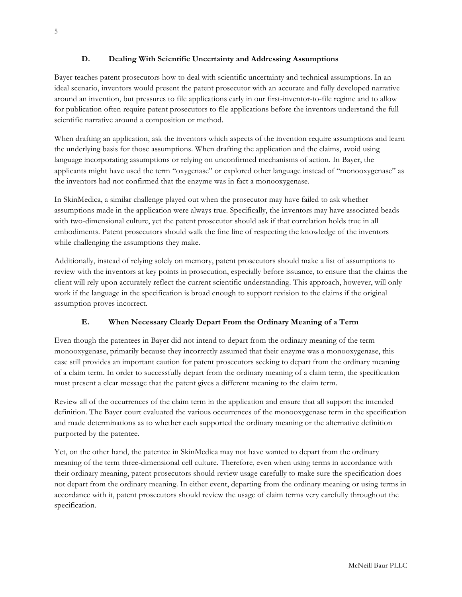## **D. Dealing With Scientific Uncertainty and Addressing Assumptions**

Bayer teaches patent prosecutors how to deal with scientific uncertainty and technical assumptions. In an ideal scenario, inventors would present the patent prosecutor with an accurate and fully developed narrative around an invention, but pressures to file applications early in our first-inventor-to-file regime and to allow for publication often require patent prosecutors to file applications before the inventors understand the full scientific narrative around a composition or method.

When drafting an application, ask the inventors which aspects of the invention require assumptions and learn the underlying basis for those assumptions. When drafting the application and the claims, avoid using language incorporating assumptions or relying on unconfirmed mechanisms of action. In Bayer, the applicants might have used the term "oxygenase" or explored other language instead of "monooxygenase" as the inventors had not confirmed that the enzyme was in fact a monooxygenase.

In SkinMedica, a similar challenge played out when the prosecutor may have failed to ask whether assumptions made in the application were always true. Specifically, the inventors may have associated beads with two-dimensional culture, yet the patent prosecutor should ask if that correlation holds true in all embodiments. Patent prosecutors should walk the fine line of respecting the knowledge of the inventors while challenging the assumptions they make.

Additionally, instead of relying solely on memory, patent prosecutors should make a list of assumptions to review with the inventors at key points in prosecution, especially before issuance, to ensure that the claims the client will rely upon accurately reflect the current scientific understanding. This approach, however, will only work if the language in the specification is broad enough to support revision to the claims if the original assumption proves incorrect.

## **E. When Necessary Clearly Depart From the Ordinary Meaning of a Term**

Even though the patentees in Bayer did not intend to depart from the ordinary meaning of the term monooxygenase, primarily because they incorrectly assumed that their enzyme was a monooxygenase, this case still provides an important caution for patent prosecutors seeking to depart from the ordinary meaning of a claim term. In order to successfully depart from the ordinary meaning of a claim term, the specification must present a clear message that the patent gives a different meaning to the claim term.

Review all of the occurrences of the claim term in the application and ensure that all support the intended definition. The Bayer court evaluated the various occurrences of the monooxygenase term in the specification and made determinations as to whether each supported the ordinary meaning or the alternative definition purported by the patentee.

Yet, on the other hand, the patentee in SkinMedica may not have wanted to depart from the ordinary meaning of the term three-dimensional cell culture. Therefore, even when using terms in accordance with their ordinary meaning, patent prosecutors should review usage carefully to make sure the specification does not depart from the ordinary meaning. In either event, departing from the ordinary meaning or using terms in accordance with it, patent prosecutors should review the usage of claim terms very carefully throughout the specification.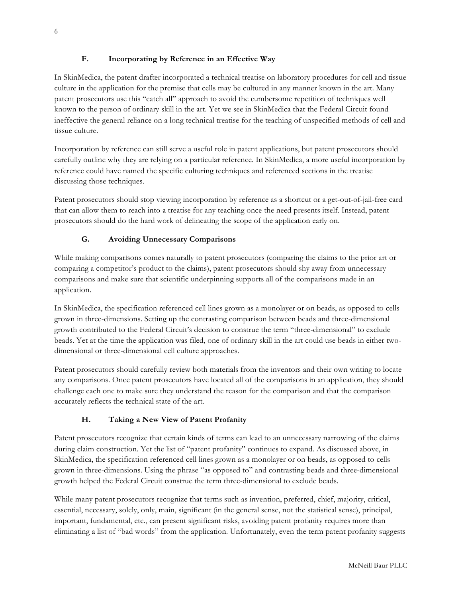## **F. Incorporating by Reference in an Effective Way**

In SkinMedica, the patent drafter incorporated a technical treatise on laboratory procedures for cell and tissue culture in the application for the premise that cells may be cultured in any manner known in the art. Many patent prosecutors use this "catch all" approach to avoid the cumbersome repetition of techniques well known to the person of ordinary skill in the art. Yet we see in SkinMedica that the Federal Circuit found ineffective the general reliance on a long technical treatise for the teaching of unspecified methods of cell and tissue culture.

Incorporation by reference can still serve a useful role in patent applications, but patent prosecutors should carefully outline why they are relying on a particular reference. In SkinMedica, a more useful incorporation by reference could have named the specific culturing techniques and referenced sections in the treatise discussing those techniques.

Patent prosecutors should stop viewing incorporation by reference as a shortcut or a get-out-of-jail-free card that can allow them to reach into a treatise for any teaching once the need presents itself. Instead, patent prosecutors should do the hard work of delineating the scope of the application early on.

## **G. Avoiding Unnecessary Comparisons**

While making comparisons comes naturally to patent prosecutors (comparing the claims to the prior art or comparing a competitor's product to the claims), patent prosecutors should shy away from unnecessary comparisons and make sure that scientific underpinning supports all of the comparisons made in an application.

In SkinMedica, the specification referenced cell lines grown as a monolayer or on beads, as opposed to cells grown in three-dimensions. Setting up the contrasting comparison between beads and three-dimensional growth contributed to the Federal Circuit's decision to construe the term "three-dimensional" to exclude beads. Yet at the time the application was filed, one of ordinary skill in the art could use beads in either twodimensional or three-dimensional cell culture approaches.

Patent prosecutors should carefully review both materials from the inventors and their own writing to locate any comparisons. Once patent prosecutors have located all of the comparisons in an application, they should challenge each one to make sure they understand the reason for the comparison and that the comparison accurately reflects the technical state of the art.

## **H. Taking a New View of Patent Profanity**

Patent prosecutors recognize that certain kinds of terms can lead to an unnecessary narrowing of the claims during claim construction. Yet the list of "patent profanity" continues to expand. As discussed above, in SkinMedica, the specification referenced cell lines grown as a monolayer or on beads, as opposed to cells grown in three-dimensions. Using the phrase "as opposed to" and contrasting beads and three-dimensional growth helped the Federal Circuit construe the term three-dimensional to exclude beads.

While many patent prosecutors recognize that terms such as invention, preferred, chief, majority, critical, essential, necessary, solely, only, main, significant (in the general sense, not the statistical sense), principal, important, fundamental, etc., can present significant risks, avoiding patent profanity requires more than eliminating a list of "bad words" from the application. Unfortunately, even the term patent profanity suggests